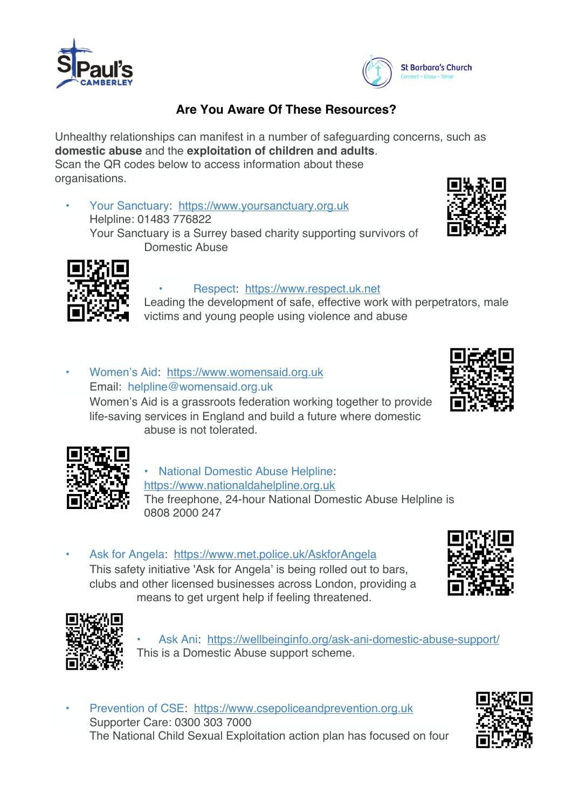



## **Are You Aware Of These Resources?**

Unhealthy relationships can manifest in a number of safeguarding concerns, such as **domestic abuse** and the **exploitation of children and adults**. Scan the QR codes below to access information about these organisations.

• Your Sanctuary: https://www.yoursanctuary.org.uk Helpline: 01483 776822 Your Sanctuary is a Surrey based charity supporting survivors of Domestic Abuse





#### • Respect: https://www.respect.uk.net

Leading the development of safe, effective work with perpetrators, male victims and young people using violence and abuse

Women's Aid: https://www.womensaid.org.uk Email: helpline@womensaid.org.uk Women's Aid is a grassroots federation working together to provide life-saving services in England and build a future where domestic abuse is not tolerated.





• National Domestic Abuse Helpline: https://www.nationaldahelpline.org.uk The freephone, 24-hour National Domestic Abuse Helpline is 0808 2000 247

• Ask for Angela: https://www.met.police.uk/AskforAngela This safety initiative "Ask for Angela' is being rolled out to bars, clubs and other licensed businesses across London, providing a means to get urgent help if feeling threatened.





• Ask Ani: https://wellbeinginfo.org/ask-ani-domestic-abuse-support/ This is a Domestic Abuse support scheme.

• Prevention of CSE: https://www.csepoliceandprevention.org.uk Supporter Care: 0300 303 7000 The National Child Sexual Exploitation action plan has focused on four

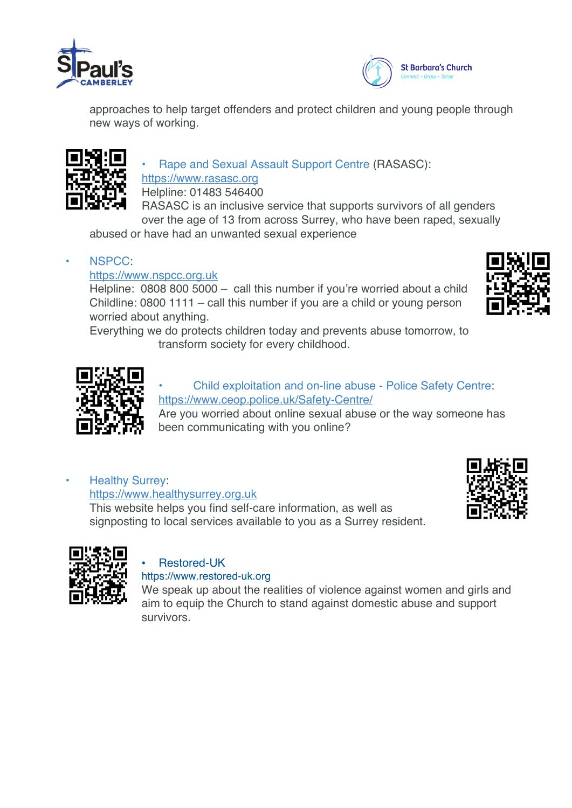



approaches to help target offenders and protect children and young people through new ways of working.



• Rape and Sexual Assault Support Centre (RASASC): https://www.rasasc.org

Helpline: 01483 546400

RASASC is an inclusive service that supports survivors of all genders over the age of 13 from across Surrey, who have been raped, sexually

abused or have had an unwanted sexual experience

#### • NSPCC:

#### https://www.nspcc.org.uk

Helpline: 0808 800 5000 – call this number if you're worried about a child Childline: 0800 1111 – call this number if you are a child or young person worried about anything.

Everything we do protects children today and prevents abuse tomorrow, to

transform society for every childhood.

#### • Child exploitation and on-line abuse - Police Safety Centre: https://www.ceop.police.uk/Safety-Centre/

Are you worried about online sexual abuse or the way someone has been communicating with you online?

# **Healthy Surrey:**

https://www.healthysurrey.org.uk

This website helps you find self-care information, as well as signposting to local services available to you as a Surrey resident.





## • Restored-UK

#### https://www.restored-uk.org

We speak up about the realities of violence against women and girls and aim to equip the Church to stand against domestic abuse and support survivors.